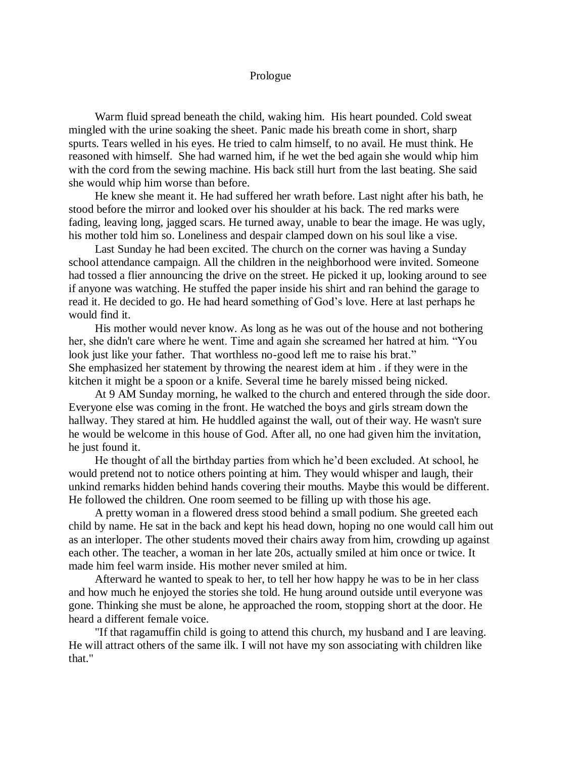## Prologue

Warm fluid spread beneath the child, waking him. His heart pounded. Cold sweat mingled with the urine soaking the sheet. Panic made his breath come in short, sharp spurts. Tears welled in his eyes. He tried to calm himself, to no avail. He must think. He reasoned with himself. She had warned him, if he wet the bed again she would whip him with the cord from the sewing machine. His back still hurt from the last beating. She said she would whip him worse than before.

He knew she meant it. He had suffered her wrath before. Last night after his bath, he stood before the mirror and looked over his shoulder at his back. The red marks were fading, leaving long, jagged scars. He turned away, unable to bear the image. He was ugly, his mother told him so. Loneliness and despair clamped down on his soul like a vise.

Last Sunday he had been excited. The church on the corner was having a Sunday school attendance campaign. All the children in the neighborhood were invited. Someone had tossed a flier announcing the drive on the street. He picked it up, looking around to see if anyone was watching. He stuffed the paper inside his shirt and ran behind the garage to read it. He decided to go. He had heard something of God's love. Here at last perhaps he would find it.

His mother would never know. As long as he was out of the house and not bothering her, she didn't care where he went. Time and again she screamed her hatred at him. "You look just like your father. That worthless no-good left me to raise his brat." She emphasized her statement by throwing the nearest idem at him . if they were in the kitchen it might be a spoon or a knife. Several time he barely missed being nicked.

At 9 AM Sunday morning, he walked to the church and entered through the side door. Everyone else was coming in the front. He watched the boys and girls stream down the hallway. They stared at him. He huddled against the wall, out of their way. He wasn't sure he would be welcome in this house of God. After all, no one had given him the invitation, he just found it.

He thought of all the birthday parties from which he'd been excluded. At school, he would pretend not to notice others pointing at him. They would whisper and laugh, their unkind remarks hidden behind hands covering their mouths. Maybe this would be different. He followed the children. One room seemed to be filling up with those his age.

A pretty woman in a flowered dress stood behind a small podium. She greeted each child by name. He sat in the back and kept his head down, hoping no one would call him out as an interloper. The other students moved their chairs away from him, crowding up against each other. The teacher, a woman in her late 20s, actually smiled at him once or twice. It made him feel warm inside. His mother never smiled at him.

Afterward he wanted to speak to her, to tell her how happy he was to be in her class and how much he enjoyed the stories she told. He hung around outside until everyone was gone. Thinking she must be alone, he approached the room, stopping short at the door. He heard a different female voice.

"If that ragamuffin child is going to attend this church, my husband and I are leaving. He will attract others of the same ilk. I will not have my son associating with children like that."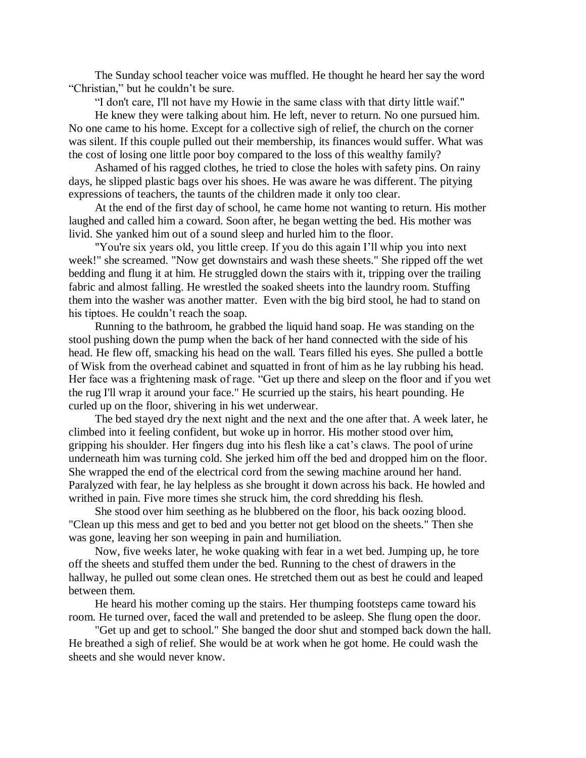The Sunday school teacher voice was muffled. He thought he heard her say the word "Christian," but he couldn't be sure.

"I don't care, I'll not have my Howie in the same class with that dirty little waif."

He knew they were talking about him. He left, never to return. No one pursued him. No one came to his home. Except for a collective sigh of relief, the church on the corner was silent. If this couple pulled out their membership, its finances would suffer. What was the cost of losing one little poor boy compared to the loss of this wealthy family?

Ashamed of his ragged clothes, he tried to close the holes with safety pins. On rainy days, he slipped plastic bags over his shoes. He was aware he was different. The pitying expressions of teachers, the taunts of the children made it only too clear.

At the end of the first day of school, he came home not wanting to return. His mother laughed and called him a coward. Soon after, he began wetting the bed. His mother was livid. She yanked him out of a sound sleep and hurled him to the floor.

"You're six years old, you little creep. If you do this again I'll whip you into next week!" she screamed. "Now get downstairs and wash these sheets." She ripped off the wet bedding and flung it at him. He struggled down the stairs with it, tripping over the trailing fabric and almost falling. He wrestled the soaked sheets into the laundry room. Stuffing them into the washer was another matter. Even with the big bird stool, he had to stand on his tiptoes. He couldn't reach the soap.

Running to the bathroom, he grabbed the liquid hand soap. He was standing on the stool pushing down the pump when the back of her hand connected with the side of his head. He flew off, smacking his head on the wall. Tears filled his eyes. She pulled a bottle of Wisk from the overhead cabinet and squatted in front of him as he lay rubbing his head. Her face was a frightening mask of rage. "Get up there and sleep on the floor and if you wet the rug I'll wrap it around your face." He scurried up the stairs, his heart pounding. He curled up on the floor, shivering in his wet underwear.

The bed stayed dry the next night and the next and the one after that. A week later, he climbed into it feeling confident, but woke up in horror. His mother stood over him, gripping his shoulder. Her fingers dug into his flesh like a cat's claws. The pool of urine underneath him was turning cold. She jerked him off the bed and dropped him on the floor. She wrapped the end of the electrical cord from the sewing machine around her hand. Paralyzed with fear, he lay helpless as she brought it down across his back. He howled and writhed in pain. Five more times she struck him, the cord shredding his flesh.

She stood over him seething as he blubbered on the floor, his back oozing blood. "Clean up this mess and get to bed and you better not get blood on the sheets." Then she was gone, leaving her son weeping in pain and humiliation.

Now, five weeks later, he woke quaking with fear in a wet bed. Jumping up, he tore off the sheets and stuffed them under the bed. Running to the chest of drawers in the hallway, he pulled out some clean ones. He stretched them out as best he could and leaped between them.

He heard his mother coming up the stairs. Her thumping footsteps came toward his room. He turned over, faced the wall and pretended to be asleep. She flung open the door.

"Get up and get to school." She banged the door shut and stomped back down the hall. He breathed a sigh of relief. She would be at work when he got home. He could wash the sheets and she would never know.